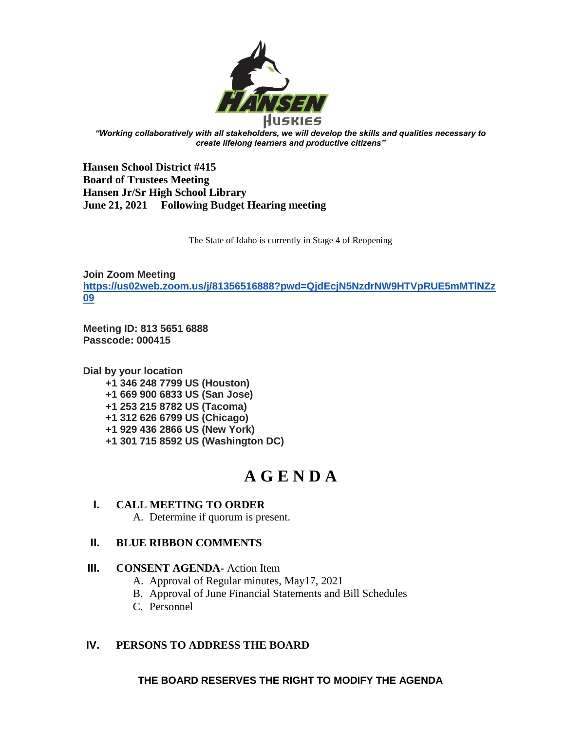

*"Working collaboratively with all stakeholders, we will develop the skills and qualities necessary to create lifelong learners and productive citizens"*

**Hansen School District #415 Board of Trustees Meeting Hansen Jr/Sr High School Library June 21, 2021 Following Budget Hearing meeting**

The State of Idaho is currently in Stage 4 of Reopening

**Join Zoom Meeting [https://us02web.zoom.us/j/81356516888?pwd=QjdEcjN5NzdrNW9HTVpRUE5mMTlNZz](https://us02web.zoom.us/j/81356516888?pwd=QjdEcjN5NzdrNW9HTVpRUE5mMTlNZz09) [09](https://us02web.zoom.us/j/81356516888?pwd=QjdEcjN5NzdrNW9HTVpRUE5mMTlNZz09)**

**Meeting ID: 813 5651 6888 Passcode: 000415**

**Dial by your location +1 346 248 7799 US (Houston) +1 669 900 6833 US (San Jose) +1 253 215 8782 US (Tacoma) +1 312 626 6799 US (Chicago) +1 929 436 2866 US (New York) +1 301 715 8592 US (Washington DC)**

# **A G E N D A**

## **I. CALL MEETING TO ORDER**

A. Determine if quorum is present.

## **II. BLUE RIBBON COMMENTS**

## **III. CONSENT AGENDA-** Action Item

- A. Approval of Regular minutes, May17, 2021
- B. Approval of June Financial Statements and Bill Schedules
- C. Personnel

## **IV. PERSONS TO ADDRESS THE BOARD**

**THE BOARD RESERVES THE RIGHT TO MODIFY THE AGENDA**